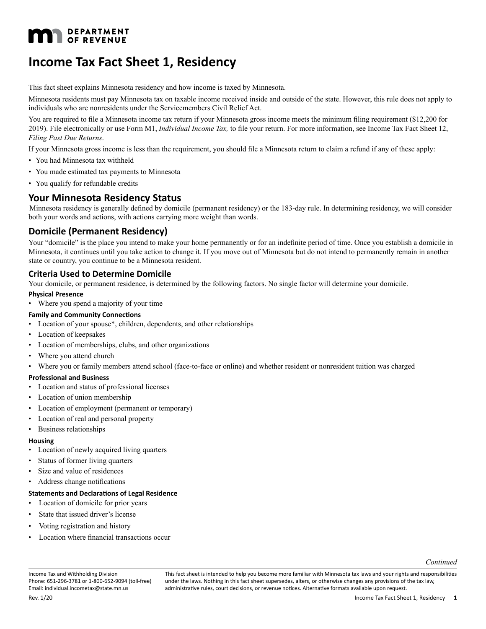# **M** DEPARTMENT **DEPARTMENT**

# **Income Tax Fact Sheet 1, Residency**

This fact sheet explains Minnesota residency and how income is taxed by Minnesota.

Minnesota residents must pay Minnesota tax on taxable income received inside and outside of the state. However, this rule does not apply to individuals who are nonresidents under the Servicemembers Civil Relief Act.

You are required to file a Minnesota income tax return if your Minnesota gross income meets the minimum filing requirement (\$12,200 for 2019). File electronically or use Form M1, *Individual Income Tax,* to file your return. For more information, see Income Tax Fact Sheet 12, *Filing Past Due Returns*.

If your Minnesota gross income is less than the requirement, you should file a Minnesota return to claim a refund if any of these apply:

- You had Minnesota tax withheld
- You made estimated tax payments to Minnesota
- You qualify for refundable credits

### **Your Minnesota Residency Status**

Minnesota residency is generally defined by domicile (permanent residency) or the 183-day rule. In determining residency, we will consider both your words and actions, with actions carrying more weight than words.

### **Domicile (Permanent Residency)**

Your "domicile" is the place you intend to make your home permanently or for an indefinite period of time. Once you establish a domicile in Minnesota, it continues until you take action to change it. If you move out of Minnesota but do not intend to permanently remain in another state or country, you continue to be a Minnesota resident.

#### **Criteria Used to Determine Domicile**

Your domicile, or permanent residence, is determined by the following factors. No single factor will determine your domicile.

#### **Physical Presence**

• Where you spend a majority of your time

#### **Family and Community Connections**

- Location of your spouse\*, children, dependents, and other relationships
- Location of keepsakes
- Location of memberships, clubs, and other organizations
- Where you attend church

• Where you or family members attend school (face-to-face or online) and whether resident or nonresident tuition was charged

#### **Professional and Business**

- Location and status of professional licenses
- Location of union membership
- Location of employment (permanent or temporary)
- Location of real and personal property
- Business relationships

#### **Housing**

- Location of newly acquired living quarters
- Status of former living quarters
- Size and value of residences
- Address change notifications

#### **Statements and Declarations of Legal Residence**

- Location of domicile for prior years
- State that issued driver's license
- Voting registration and history
- Location where financial transactions occur

*Continued*

Income Tax and Withholding Division Phone: 651-296-3781 or 1-800-652-9094 (toll-free) Email: individual.incometax@state.mn.us

This fact sheet is intended to help you become more familiar with Minnesota tax laws and your rights and responsibilities under the laws. Nothing in this fact sheet supersedes, alters, or otherwise changes any provisions of the tax law, administrative rules, court decisions, or revenue notices. Alternative formats available upon request.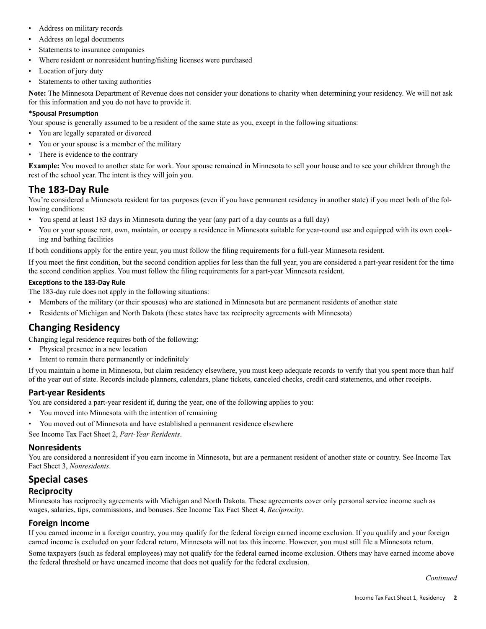- Address on military records
- Address on legal documents
- Statements to insurance companies
- Where resident or nonresident hunting/fishing licenses were purchased
- Location of jury duty
- Statements to other taxing authorities

**Note:** The Minnesota Department of Revenue does not consider your donations to charity when determining your residency. We will not ask for this information and you do not have to provide it.

#### **\*Spousal Presumption**

Your spouse is generally assumed to be a resident of the same state as you, except in the following situations:

- You are legally separated or divorced
- You or your spouse is a member of the military
- There is evidence to the contrary

**Example:** You moved to another state for work. Your spouse remained in Minnesota to sell your house and to see your children through the rest of the school year. The intent is they will join you.

# **The 183-Day Rule**

You're considered a Minnesota resident for tax purposes (even if you have permanent residency in another state) if you meet both of the following conditions:

- You spend at least 183 days in Minnesota during the year (any part of a day counts as a full day)
- You or your spouse rent, own, maintain, or occupy a residence in Minnesota suitable for year-round use and equipped with its own cooking and bathing facilities

If both conditions apply for the entire year, you must follow the filing requirements for a full-year Minnesota resident.

If you meet the first condition, but the second condition applies for less than the full year, you are considered a part-year resident for the time the second condition applies. You must follow the filing requirements for a part-year Minnesota resident.

#### **Exceptions to the 183-Day Rule**

The 183-day rule does not apply in the following situations:

- Members of the military (or their spouses) who are stationed in Minnesota but are permanent residents of another state
- Residents of Michigan and North Dakota (these states have tax reciprocity agreements with Minnesota)

## **Changing Residency**

Changing legal residence requires both of the following:

- Physical presence in a new location
- Intent to remain there permanently or indefinitely

If you maintain a home in Minnesota, but claim residency elsewhere, you must keep adequate records to verify that you spent more than half of the year out of state. Records include planners, calendars, plane tickets, canceled checks, credit card statements, and other receipts.

### **Part-year Residents**

You are considered a part-year resident if, during the year, one of the following applies to you:

- You moved into Minnesota with the intention of remaining
- You moved out of Minnesota and have established a permanent residence elsewhere

See Income Tax Fact Sheet 2, *Part-Year Residents*.

#### **Nonresidents**

You are considered a nonresident if you earn income in Minnesota, but are a permanent resident of another state or country. See Income Tax Fact Sheet 3, *Nonresidents*.

## **Special cases**

### **Reciprocity**

Minnesota has reciprocity agreements with Michigan and North Dakota. These agreements cover only personal service income such as wages, salaries, tips, commissions, and bonuses. See Income Tax Fact Sheet 4, *Reciprocity*.

#### **Foreign Income**

If you earned income in a foreign country, you may qualify for the federal foreign earned income exclusion. If you qualify and your foreign earned income is excluded on your federal return, Minnesota will not tax this income. However, you must still file a Minnesota return.

Some taxpayers (such as federal employees) may not qualify for the federal earned income exclusion. Others may have earned income above the federal threshold or have unearned income that does not qualify for the federal exclusion.

*Continued*